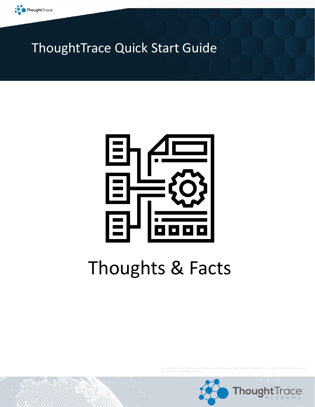

### ThoughtTrace Quick Start Guide



# Thoughts & Facts

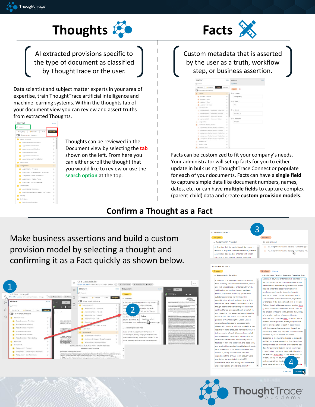



AI extracted provisions specific to the type of document as classified by ThoughtTrace or the user.

Data scientist and subject matter experts in your area of expertise, train ThoughtTrace artificial intelligence and machine learning systems. Within the thoughts tab of your document view you can review and assert truths from extracted Thoughts.



Thoughts can be reviewed in the Document view by selecting the **tab** shown on the left. From here you can either scroll the thought that you would like to review or use the **search option** at the top.

Custom metadata that is asserted by the user as a truth, workflow step, or business assertion.



Facts can be customized to fit your company's needs. Your administrator will set up facts for you to either update in bulk using ThoughtTrace Connect or populate for each of your documents. Facts can have a **single field** to capture simple data like document numbers, names, dates, etc. or can have **multiple fields** to capture complex (parent-child) data and create **custom provision models**.

#### **Confirm a Thought as a Fact**

Make business assertions and build a custom provision model by selecting a thought and confirming it as a Fact quickly as shown below.







are shut-in for a period of ninety (90)

consecutive days, and during such time there

are no operations on said land, then at or

4

or part, liability for pay

rest exclusively on the

lease, severally as to ac